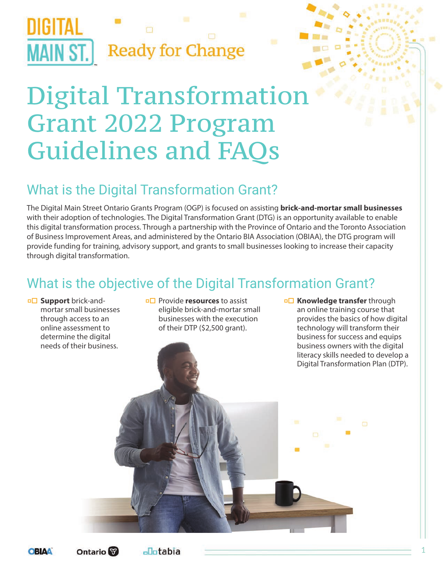

## Digital Transformation Grant 2022 Program Guidelines and FAQs

### What is the Digital Transformation Grant?

The Digital Main Street Ontario Grants Program (OGP) is focused on assisting **brick-and-mortar small businesses** with their adoption of technologies. The Digital Transformation Grant (DTG) is an opportunity available to enable this digital transformation process. Through a partnership with the Province of Ontario and the Toronto Association of Business Improvement Areas, and administered by the Ontario BIA Association (OBIAA), the DTG program will provide funding for training, advisory support, and grants to small businesses looking to increase their capacity through digital transformation.

### What is the objective of the Digital Transformation Grant?

**p** $\Box$  **Support** brick-andmortar small businesses through access to an online assessment to determine the digital needs of their business.

**□□** Provide **resources** to assist eligible brick-and-mortar small businesses with the execution of their DTP (\$2,500 grant).

**p** $\Box$  **Knowledge transfer** through an online training course that provides the basics of how digital technology will transform their business for success and equips business owners with the digital literacy skills needed to develop a Digital Transformation Plan (DTP).



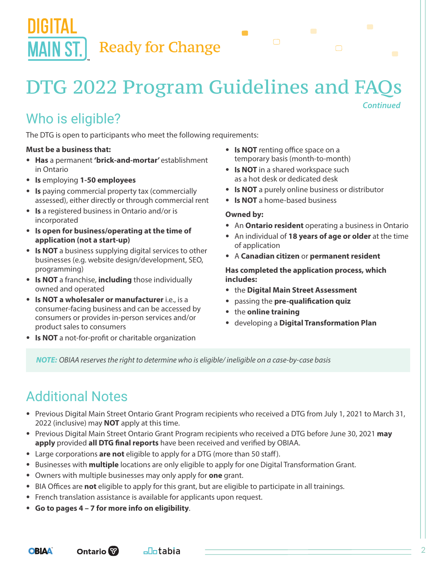## DTG 2022 Program Guidelines and FAQs

### Who is eligible?

The DTG is open to participants who meet the following requirements:

#### **Must be a business that:**

- **Has** a permanent **'brick-and-mortar'** establishment in Ontario
- **Is** employing **1-50 employees**
- **Is** paying commercial property tax (commercially assessed), either directly or through commercial rent
- **Is** a registered business in Ontario and/or is incorporated
- **Is open for business/operating at the time of application (not a start-up)**
- **Is NOT** a business supplying digital services to other businesses (e.g. website design/development, SEO, programming)
- **Is NOT** a franchise, **including** those individually owned and operated
- **Is NOT a wholesaler or manufacturer** i.e., is a consumer-facing business and can be accessed by consumers or provides in-person services and/or product sales to consumers
- **Is NOT** a not-for-profit or charitable organization
- **Is NOT** renting office space on a temporary basis (month-to-month)
- **Is NOT** in a shared workspace such as a hot desk or dedicated desk
- **Is NOT** a purely online business or distributor
- **Is NOT** a home-based business

#### **Owned by:**

 $\blacksquare$ 

• An **Ontario resident** operating a business in Ontario

*Continued*

- An individual of **18 years of age or older** at the time of application
- A **Canadian citizen** or **permanent resident**

**Has completed the application process, which includes:** 

- the **Digital Main Street Assessment**
- passing the **pre-qualification quiz**
- the **online training**
- developing a **Digital Transformation Plan**

*NOTE: OBIAA reserves the right to determine who is eligible/ ineligible on a case-by-case basis*

### Additional Notes

- Previous Digital Main Street Ontario Grant Program recipients who received a DTG from July 1, 2021 to March 31, 2022 (inclusive) may **NOT** apply at this time.
- Previous Digital Main Street Ontario Grant Program recipients who received a DTG before June 30, 2021 **may apply** provided **all DTG final reports** have been received and verified by OBIAA.
- Large corporations **are not** eligible to apply for a DTG (more than 50 staff).
- Businesses with **multiple** locations are only eligible to apply for one Digital Transformation Grant.
- Owners with multiple businesses may only apply for **one** grant.
- BIA Offices are **not** eligible to apply for this grant, but are eligible to participate in all trainings.
- French translation assistance is available for applicants upon request.

<sub>⊡</sub>Ootabia

• **Go to pages 4 – 7 for more info on eligibility**.

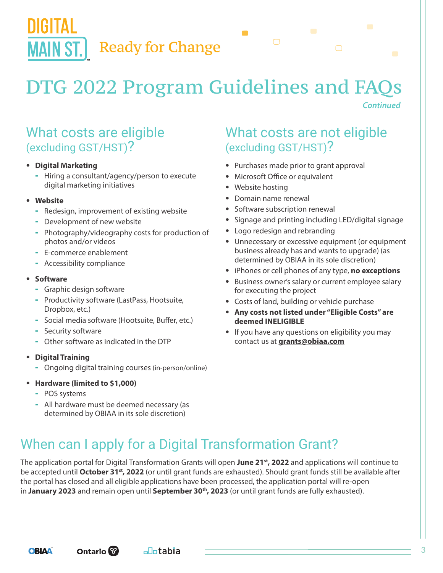**Ready for Change** 

## DTG 2022 Program Guidelines and FAQs

 $\blacksquare$ 

#### *Continued*

#### What costs are eligible (excluding GST/HST)?

#### • **Digital Marketing**

- Hiring a consultant/agency/person to execute digital marketing initiatives

#### • **Website**

Шын

**MAIN ST.** 

- Redesign, improvement of existing website
- Development of new website
- Photography/videography costs for production of photos and/or videos
- E-commerce enablement
- Accessibility compliance

#### • **Software**

- Graphic design software
- Productivity software (LastPass, Hootsuite, Dropbox, etc.)
- Social media software (Hootsuite, Buffer, etc.)
- Security software
- Other software as indicated in the DTP

#### • **Digital Training**

- Ongoing digital training courses (in-person/online)

#### • **Hardware (limited to \$1,000)**

- POS systems
- All hardware must be deemed necessary (as determined by OBIAA in its sole discretion)

#### What costs are not eligible (excluding GST/HST)?

- Purchases made prior to grant approval
- Microsoft Office or equivalent
- Website hosting
- Domain name renewal
- Software subscription renewal
- Signage and printing including LED/digital signage
- Logo redesign and rebranding
- Unnecessary or excessive equipment (or equipment business already has and wants to upgrade) (as determined by OBIAA in its sole discretion)
- iPhones or cell phones of any type, **no exceptions**
- Business owner's salary or current employee salary for executing the project
- Costs of land, building or vehicle purchase
- **Any costs not listed under "Eligible Costs" are deemed INELIGIBLE**
- If you have any questions on eligibility you may contact us at **grants@obiaa.com**

### When can I apply for a Digital Transformation Grant?

The application portal for Digital Transformation Grants will open **June 21st, 2022** and applications will continue to be accepted until **October 31st, 2022** (or until grant funds are exhausted). Should grant funds still be available after the portal has closed and all eligible applications have been processed, the application portal will re-open in **January 2023** and remain open until **September 30th, 2023** (or until grant funds are fully exhausted).

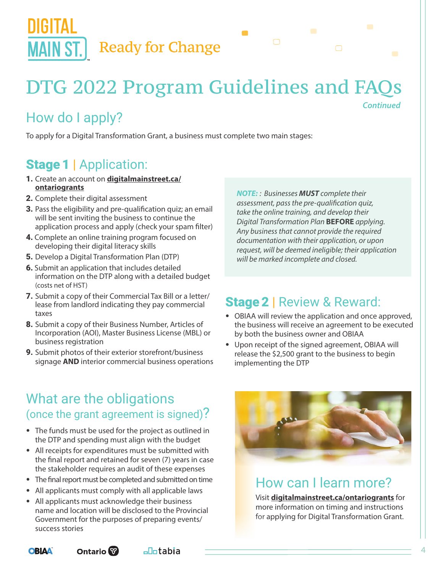

### DTG 2022 Program Guidelines and FAQs *Continued*

 $\blacksquare$ 

### How do I apply?

To apply for a Digital Transformation Grant, a business must complete two main stages:

### Stage 1 | Application:

- 1. Create an account on **[digitalmainstreet.ca/](https://digitalmainstreet.ca/ontariogrants/) [ontariogrants](https://digitalmainstreet.ca/ontariogrants/)**
- **2.** Complete their digital assessment
- **3.** Pass the eligibility and pre-qualification quiz; an email will be sent inviting the business to continue the application process and apply (check your spam filter)
- 4. Complete an online training program focused on developing their digital literacy skills
- **5.** Develop a Digital Transformation Plan (DTP)
- 6. Submit an application that includes detailed information on the DTP along with a detailed budget (costs net of HST)
- 7. Submit a copy of their Commercial Tax Bill or a letter/ lease from landlord indicating they pay commercial taxes
- 8. Submit a copy of their Business Number, Articles of Incorporation (AOI), Master Business License (MBL) or business registration
- **9.** Submit photos of their exterior storefront/business signage **AND** interior commercial business operations

*NOTE: : Businesses MUST complete their assessment, pass the pre-qualification quiz, take the online training, and develop their Digital Transformation Plan* **BEFORE** *applying. Any business that cannot provide the required documentation with their application, or upon request, will be deemed ineligible; their application will be marked incomplete and closed.*

### Stage 2 | Review & Reward:

- OBIAA will review the application and once approved, the business will receive an agreement to be executed by both the business owner and OBIAA
- Upon receipt of the signed agreement, OBIAA will release the \$2,500 grant to the business to begin implementing the DTP

#### What are the obligations (once the grant agreement is signed)?

- The funds must be used for the project as outlined in the DTP and spending must align with the budget
- All receipts for expenditures must be submitted with the final report and retained for seven (7) years in case the stakeholder requires an audit of these expenses
- The final report must be completed and submitted on time
- All applicants must comply with all applicable laws
- All applicants must acknowledge their business name and location will be disclosed to the Provincial Government for the purposes of preparing events/ success stories

**Ontario** 



#### How can I learn more?

Visit **[digitalmainstreet.ca/ontariogrants](https://digitalmainstreet.ca/ontariogrants/)** for more information on timing and instructions for applying for Digital Transformation Grant.

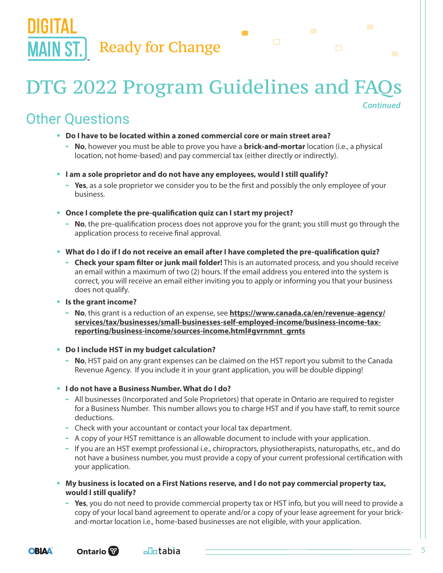## DTG 2022 Program Guidelines and FAQs

 $\blacksquare$ 

### Other Questions

- **Do I have to be located within a zoned commercial core or main street area?**
	- **No**, however you must be able to prove you have a **brick-and-mortar** location (i.e., a physical location, not home-based) and pay commercial tax (either directly or indirectly).
- **I am a sole proprietor and do not have any employees, would I still qualify?**
	- **Yes**, as a sole proprietor we consider you to be the first and possibly the only employee of your business.
- **Once I complete the pre-qualification quiz can I start my project?**
	- **No**, the pre-qualification process does not approve you for the grant; you still must go through the application process to receive final approval.
- **What do I do if I do not receive an email after I have completed the pre-qualification quiz?**
	- **Check your spam filter or junk mail folder!** This is an automated process, and you should receive an email within a maximum of two (2) hours. If the email address you entered into the system is correct, you will receive an email either inviting you to apply or informing you that your business does not qualify.
- **Is the grant income?**
	- **No**, this grant is a reduction of an expense, see **[https://www.canada.ca/en/revenue-agency/](https://www.canada.ca/en/revenue-agency/services/tax/businesses/small-businesses-self-employed-income/business-income-tax-reporting/business-income/sources-income.html#gvrnmnt_grnts) [services/tax/businesses/small-businesses-self-employed-income/business-income-tax](https://www.canada.ca/en/revenue-agency/services/tax/businesses/small-businesses-self-employed-income/business-income-tax-reporting/business-income/sources-income.html#gvrnmnt_grnts)[reporting/business-income/sources-income.html#gvrnmnt\\_grnts](https://www.canada.ca/en/revenue-agency/services/tax/businesses/small-businesses-self-employed-income/business-income-tax-reporting/business-income/sources-income.html#gvrnmnt_grnts)**
- **Do I include HST in my budget calculation?**
	- **No**, HST paid on any grant expenses can be claimed on the HST report you submit to the Canada Revenue Agency. If you include it in your grant application, you will be double dipping!
- **I do not have a Business Number. What do I do?**
	- All businesses (Incorporated and Sole Proprietors) that operate in Ontario are required to register for a Business Number. This number allows you to charge HST and if you have staff, to remit source deductions.
	- Check with your accountant or contact your local tax department.
	- A copy of your HST remittance is an allowable document to include with your application.
	- If you are an HST exempt professional i.e., chiropractors, physiotherapists, naturopaths, etc., and do not have a business number, you must provide a copy of your current professional certification with your application.
- **My business is located on a First Nations reserve, and I do not pay commercial property tax, would I still qualify?**
	- **Yes**, you do not need to provide commercial property tax or HST info, but you will need to provide a copy of your local band agreement to operate and/or a copy of your lease agreement for your brickand-mortar location i.e., home-based businesses are not eligible, with your application.



*Continued*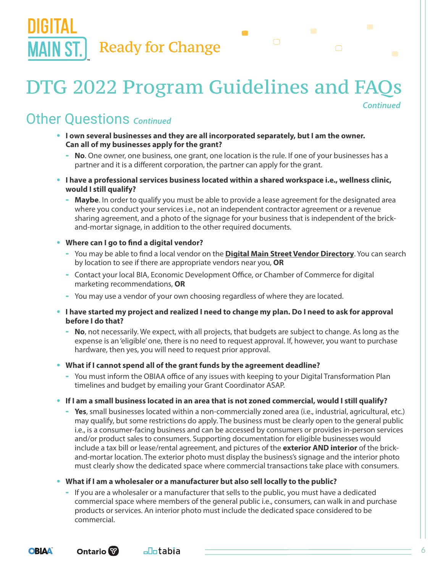## DTG 2022 Program Guidelines and FAQs

 $\blacksquare$ 

Other Questions *Continued*

- **I own several businesses and they are all incorporated separately, but I am the owner. Can all of my businesses apply for the grant?**
	- **No**. One owner, one business, one grant, one location is the rule. If one of your businesses has a partner and it is a different corporation, the partner can apply for the grant.
- **I have a professional services business located within a shared workspace i.e., wellness clinic, would I still qualify?**
	- **Maybe**. In order to qualify you must be able to provide a lease agreement for the designated area where you conduct your services i.e., not an independent contractor agreement or a revenue sharing agreement, and a photo of the signage for your business that is independent of the brickand-mortar signage, in addition to the other required documents.
- **Where can I go to find a digital vendor?**
	- You may be able to find a local vendor on the **[Digital Main Street Vendor Directory](https://digitalmainstreet.ca/vendor-directory/)**. You can search by location to see if there are appropriate vendors near you, **OR**
	- Contact your local BIA, Economic Development Office, or Chamber of Commerce for digital marketing recommendations, **OR**
	- You may use a vendor of your own choosing regardless of where they are located.
- **I have started my project and realized I need to change my plan. Do I need to ask for approval before I do that?**
	- **No**, not necessarily. We expect, with all projects, that budgets are subject to change. As long as the expense is an 'eligible' one, there is no need to request approval. If, however, you want to purchase hardware, then yes, you will need to request prior approval.
- **What if I cannot spend all of the grant funds by the agreement deadline?**
	- You must inform the OBIAA office of any issues with keeping to your Digital Transformation Plan timelines and budget by emailing your Grant Coordinator ASAP.
- **If I am a small business located in an area that is not zoned commercial, would I still qualify?**
	- Yes, small businesses located within a non-commercially zoned area (i.e., industrial, agricultural, etc.) may qualify, but some restrictions do apply. The business must be clearly open to the general public i.e., is a consumer-facing business and can be accessed by consumers or provides in-person services and/or product sales to consumers. Supporting documentation for eligible businesses would include a tax bill or lease/rental agreement, and pictures of the **exterior AND interior** of the brickand-mortar location. The exterior photo must display the business's signage and the interior photo must clearly show the dedicated space where commercial transactions take place with consumers.
- **What if I am a wholesaler or a manufacturer but also sell locally to the public?**
	- If you are a wholesaler or a manufacturer that sells to the public, you must have a dedicated commercial space where members of the general public i.e., consumers, can walk in and purchase products or services. An interior photo must include the dedicated space considered to be commercial.



*Continued*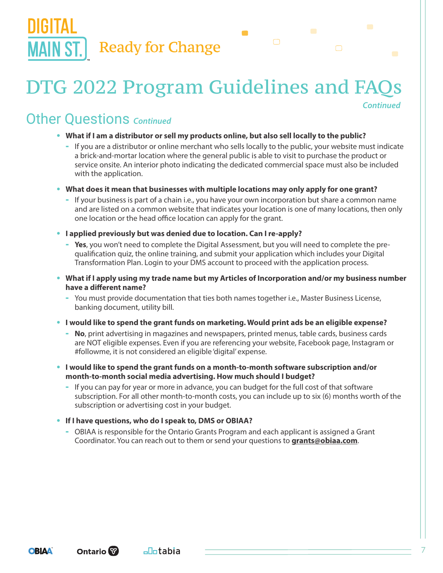## DTG 2022 Program Guidelines and FAQs

*Continued*

### Other Questions *Continued*

- **What if I am a distributor or sell my products online, but also sell locally to the public?**
	- If you are a distributor or online merchant who sells locally to the public, your website must indicate a brick-and-mortar location where the general public is able to visit to purchase the product or service onsite. An interior photo indicating the dedicated commercial space must also be included with the application.

 $\blacksquare$ 

- **What does it mean that businesses with multiple locations may only apply for one grant?**
	- If your business is part of a chain i.e., you have your own incorporation but share a common name and are listed on a common website that indicates your location is one of many locations, then only one location or the head office location can apply for the grant.
- **I applied previously but was denied due to location. Can I re-apply?**
	- **Yes**, you won't need to complete the Digital Assessment, but you will need to complete the prequalification quiz, the online training, and submit your application which includes your Digital Transformation Plan. Login to your DMS account to proceed with the application process.
- **What if I apply using my trade name but my Articles of Incorporation and/or my business number have a different name?**
	- You must provide documentation that ties both names together i.e., Master Business License, banking document, utility bill.
- **I would like to spend the grant funds on marketing. Would print ads be an eligible expense?**
	- **No**, print advertising in magazines and newspapers, printed menus, table cards, business cards are NOT eligible expenses. Even if you are referencing your website, Facebook page, Instagram or #followme, it is not considered an eligible 'digital' expense.
- **I would like to spend the grant funds on a month-to-month software subscription and/or month-to-month social media advertising. How much should I budget?**
	- If you can pay for year or more in advance, you can budget for the full cost of that software subscription. For all other month-to-month costs, you can include up to six (6) months worth of the subscription or advertising cost in your budget.
- **If I have questions, who do I speak to, DMS or OBIAA?**
	- OBIAA is responsible for the Ontario Grants Program and each applicant is assigned a Grant Coordinator. You can reach out to them or send your questions to **grants@obiaa.com**.

<sub>⊡</sub>Ootabia